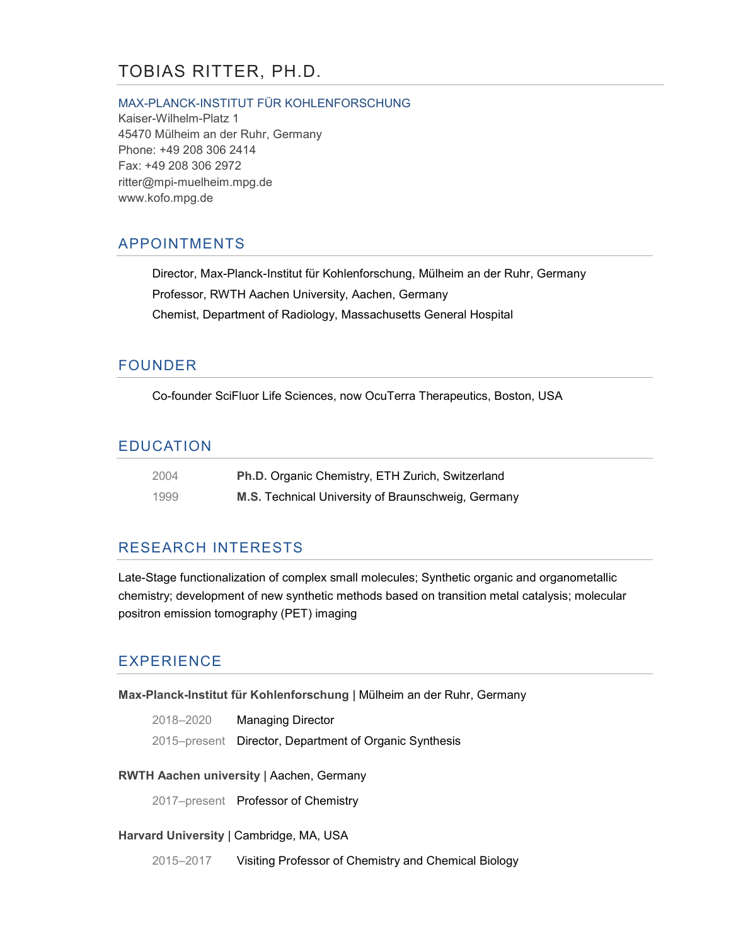# TOBIAS RITTER, PH.D.

#### MAX-PLANCK-INSTITUT FÜR KOHLENFORSCHUNG

Kaiser-Wilhelm-Platz 1 45470 Mülheim an der Ruhr, Germany Phone: +49 208 306 2414 Fax: +49 208 306 2972 ritter@mpi-muelheim.mpg.de www.kofo.mpg.de

## APPOINTMENTS

Director, Max-Planck-Institut für Kohlenforschung, Mülheim an der Ruhr, Germany Professor, RWTH Aachen University, Aachen, Germany Chemist, Department of Radiology, Massachusetts General Hospital

### FOUNDER

Co-founder SciFluor Life Sciences, now OcuTerra Therapeutics, Boston, USA

### EDUCATION

| 2004 | Ph.D. Organic Chemistry, ETH Zurich, Switzerland   |
|------|----------------------------------------------------|
| 1999 | M.S. Technical University of Braunschweig, Germany |

### RESEARCH INTERESTS

Late-Stage functionalization of complex small molecules; Synthetic organic and organometallic chemistry; development of new synthetic methods based on transition metal catalysis; molecular positron emission tomography (PET) imaging

## EXPERIENCE

**Max-Planck-Institut für Kohlenforschung** | Mülheim an der Ruhr, Germany

| 2018-2020 | Managing Director                                      |
|-----------|--------------------------------------------------------|
|           | 2015–present Director, Department of Organic Synthesis |

#### **RWTH Aachen university** | Aachen, Germany

2017–present Professor of Chemistry

#### **Harvard University** | Cambridge, MA, USA

2015–2017 Visiting Professor of Chemistry and Chemical Biology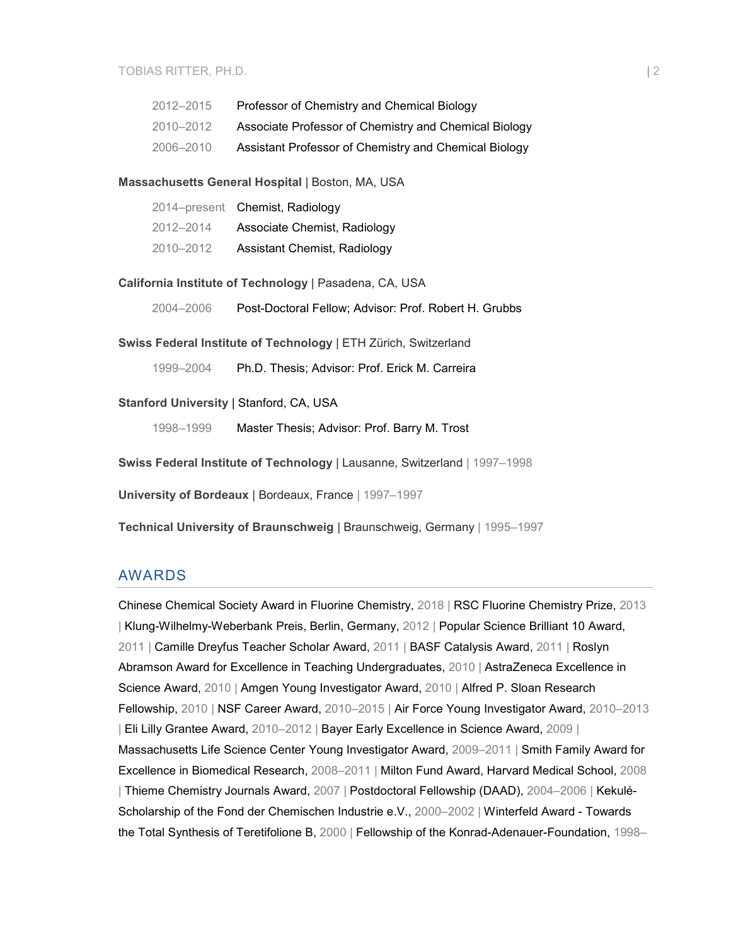| 2012-2015 | Professor of Chemistry and Chemical Biology           |
|-----------|-------------------------------------------------------|
| 2010-2012 | Associate Professor of Chemistry and Chemical Biology |
| 2006-2010 | Assistant Professor of Chemistry and Chemical Biology |

#### **Massachusetts General Hospital** | Boston, MA, USA

|           | 2014–present Chemist, Radiology |
|-----------|---------------------------------|
| 2012-2014 | Associate Chemist, Radiology    |
| 2010-2012 | Assistant Chemist, Radiology    |

#### **California Institute of Technology** | Pasadena, CA, USA

2004–2006 Post-Doctoral Fellow; Advisor: Prof. Robert H. Grubbs

**Swiss Federal Institute of Technology** | ETH Zürich, Switzerland

1999–2004 Ph.D. Thesis; Advisor: Prof. Erick M. Carreira

#### **Stanford University** | Stanford, CA, USA

1998–1999 Master Thesis; Advisor: Prof. Barry M. Trost

**Swiss Federal Institute of Technology** | Lausanne, Switzerland | 1997–1998

**University of Bordeaux** | Bordeaux, France | 1997–1997

**Technical University of Braunschweig** | Braunschweig, Germany | 1995–1997

#### AWARDS

Chinese Chemical Society Award in Fluorine Chemistry, 2018 | RSC Fluorine Chemistry Prize, 2013 | Klung-Wilhelmy-Weberbank Preis, Berlin, Germany, 2012 | Popular Science Brilliant 10 Award, 2011 | Camille Dreyfus Teacher Scholar Award, 2011 | BASF Catalysis Award, 2011 | Roslyn Abramson Award for Excellence in Teaching Undergraduates, 2010 | AstraZeneca Excellence in Science Award, 2010 | Amgen Young Investigator Award, 2010 | Alfred P. Sloan Research Fellowship, 2010 | NSF Career Award, 2010–2015 | Air Force Young Investigator Award, 2010–2013 | Eli Lilly Grantee Award, 2010–2012 | Bayer Early Excellence in Science Award, 2009 | Massachusetts Life Science Center Young Investigator Award, 2009–2011 | Smith Family Award for Excellence in Biomedical Research, 2008–2011 | Milton Fund Award, Harvard Medical School, 2008 | Thieme Chemistry Journals Award, 2007 | Postdoctoral Fellowship (DAAD), 2004–2006 | Kekulé-Scholarship of the Fond der Chemischen Industrie e.V., 2000–2002 | Winterfeld Award - Towards the Total Synthesis of Teretifolione B, 2000 | Fellowship of the Konrad-Adenauer-Foundation, 1998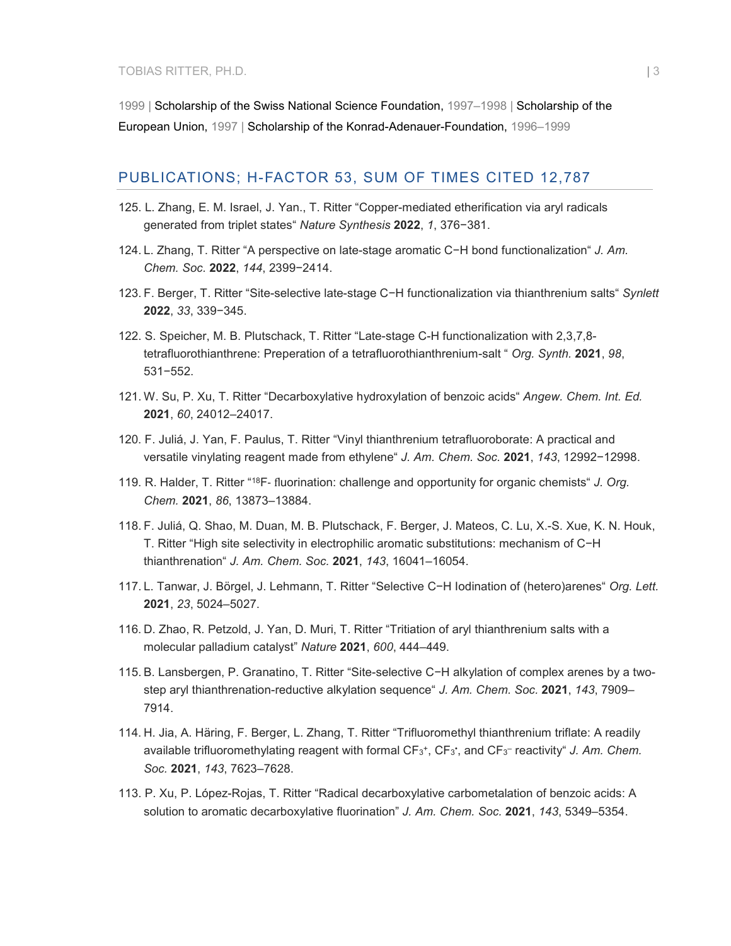1999 | Scholarship of the Swiss National Science Foundation, 1997–1998 | Scholarship of the European Union, 1997 | Scholarship of the Konrad-Adenauer-Foundation, 1996–1999

### PUBLICATIONS; H-FACTOR 53, SUM OF TIMES CITED 12,787

- 125. L. Zhang, E. M. Israel, J. Yan., T. Ritter "Copper-mediated etherification via aryl radicals generated from triplet states" *Nature Synthesis* **2022**, *1*, 376−381.
- 124. L. Zhang, T. Ritter "A perspective on late-stage aromatic C−H bond functionalization" *J. Am. Chem. Soc.* **2022**, *144*, 2399−2414.
- 123. F. Berger, T. Ritter "Site-selective late-stage C−H functionalization via thianthrenium salts" *Synlett* **2022**, *33*, 339−345.
- 122. S. Speicher, M. B. Plutschack, T. Ritter "Late-stage C-H functionalization with 2,3,7,8 tetrafluorothianthrene: Preperation of a tetrafluorothianthrenium-salt " *Org. Synth.* **2021**, *98*, 531−552.
- 121. W. Su, P. Xu, T. Ritter "Decarboxylative hydroxylation of benzoic acids" *Angew. Chem. Int. Ed.* **2021**, *60*, 24012–24017.
- 120. F. Juliá, J. Yan, F. Paulus, T. Ritter "Vinyl thianthrenium tetrafluoroborate: A practical and versatile vinylating reagent made from ethylene" *J. Am. Chem. Soc.* **2021**, *143*, 12992−12998.
- 119. R. Halder, T. Ritter "18F‑ fluorination: challenge and opportunity for organic chemists" *J. Org. Chem.* **2021**, *86*, 13873–13884.
- 118. F. Juliá, Q. Shao, M. Duan, M. B. Plutschack, F. Berger, J. Mateos, C. Lu, X.-S. Xue, K. N. Houk, T. Ritter "High site selectivity in electrophilic aromatic substitutions: mechanism of C−H thianthrenation" *J. Am. Chem. Soc.* **2021**, *143*, 16041–16054.
- 117. L. Tanwar, J. Börgel, J. Lehmann, T. Ritter "Selective C−H Iodination of (hetero)arenes" *Org. Lett.* **2021**, *23*, 5024–5027.
- 116. D. Zhao, R. Petzold, J. Yan, D. Muri, T. Ritter "Tritiation of aryl thianthrenium salts with a molecular palladium catalyst" *Nature* **2021**, *600*, 444–449.
- 115. B. Lansbergen, P. Granatino, T. Ritter "Site-selective C−H alkylation of complex arenes by a twostep aryl thianthrenation-reductive alkylation sequence" *J. Am. Chem. Soc.* **2021**, *143*, 7909– 7914.
- 114. H. Jia, A. Häring, F. Berger, L. Zhang, T. Ritter "Trifluoromethyl thianthrenium triflate: A readily available trifluoromethylating reagent with formal CF3+, CF3• , and CF3– reactivity" *J. Am. Chem. Soc.* **2021**, *143*, 7623–7628.
- 113. P. Xu, P. López-Rojas, T. Ritter "Radical decarboxylative carbometalation of benzoic acids: A solution to aromatic decarboxylative fluorination" *J. Am. Chem. Soc.* **2021**, *143*, 5349–5354.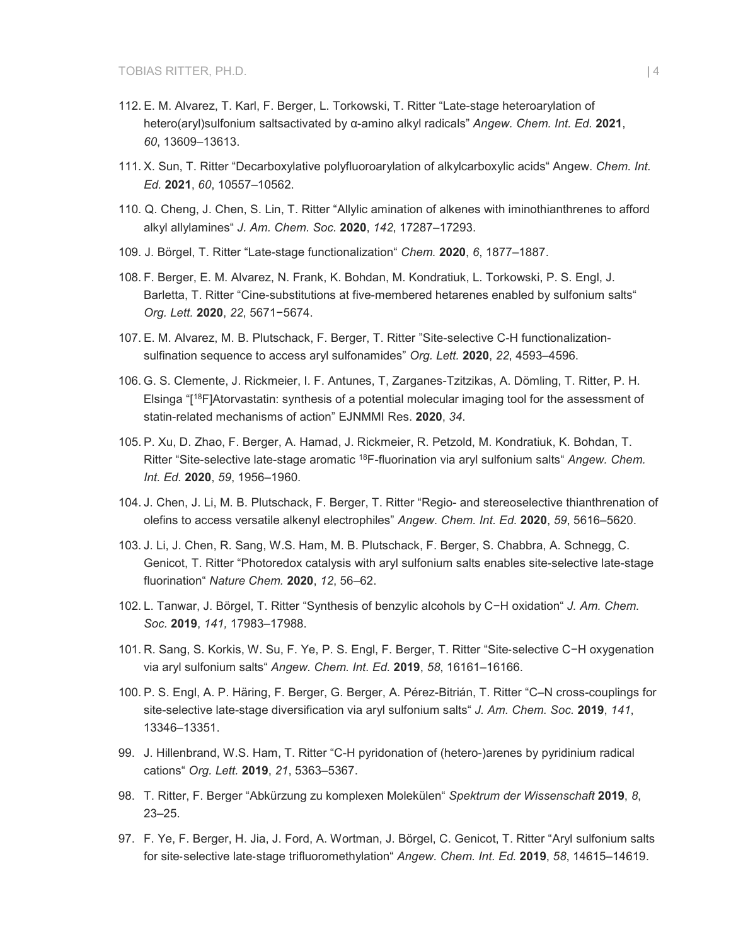- 112. E. M. Alvarez, T. Karl, F. Berger, L. Torkowski, T. Ritter "Late-stage heteroarylation of hetero(aryl)sulfonium saltsactivated by α-amino alkyl radicals" *Angew. Chem. Int. Ed.* **2021**, *60*, 13609–13613.
- 111. X. Sun, T. Ritter "Decarboxylative polyfluoroarylation of alkylcarboxylic acids" Angew. *Chem. Int. Ed.* **2021**, *60*, 10557–10562.
- 110. Q. Cheng, J. Chen, S. Lin, T. Ritter "Allylic amination of alkenes with iminothianthrenes to afford alkyl allylamines" *J. Am. Chem. Soc.* **2020**, *142*, 17287–17293.
- 109. J. Börgel, T. Ritter "Late-stage functionalization" *Chem.* **2020**, *6*, 1877–1887.
- 108. F. Berger, E. M. Alvarez, N. Frank, K. Bohdan, M. Kondratiuk, L. Torkowski, P. S. Engl, J. Barletta, T. Ritter "Cine-substitutions at five-membered hetarenes enabled by sulfonium salts" *Org. Lett.* **2020**, *22*, 5671−5674.
- 107. E. M. Alvarez, M. B. Plutschack, F. Berger, T. Ritter "Site-selective C-H functionalizationsulfination sequence to access aryl sulfonamides" *Org. Lett.* **2020**, *22*, 4593–4596.
- 106. G. S. Clemente, J. Rickmeier, I. F. Antunes, T, Zarganes-Tzitzikas, A. Dömling, T. Ritter, P. H. Elsinga "[18F]Atorvastatin: synthesis of a potential molecular imaging tool for the assessment of statin-related mechanisms of action" EJNMMI Res. **2020**, *34*.
- 105. P. Xu, D. Zhao, F. Berger, A. Hamad, J. Rickmeier, R. Petzold, M. Kondratiuk, K. Bohdan, T. Ritter "Site-selective late-stage aromatic 18F-fluorination via aryl sulfonium salts" *Angew. Chem. Int. Ed.* **2020**, *59*, 1956–1960.
- 104. J. Chen, J. Li, M. B. Plutschack, F. Berger, T. Ritter "Regio- and stereoselective thianthrenation of olefins to access versatile alkenyl electrophiles" *Angew. Chem. Int. Ed.* **2020**, *59*, 5616–5620.
- 103. J. Li, J. Chen, R. Sang, W.S. Ham, M. B. Plutschack, F. Berger, S. Chabbra, A. Schnegg, C. Genicot, T. Ritter "Photoredox catalysis with aryl sulfonium salts enables site-selective late-stage fluorination" *Nature Chem.* **2020**, *12*, 56–62.
- 102. L. Tanwar, J. Börgel, T. Ritter "Synthesis of benzylic alcohols by C−H oxidation" *J. Am. Chem. Soc.* **2019**, *141,* 17983–17988.
- 101. R. Sang, S. Korkis, W. Su, F. Ye, P. S. Engl, F. Berger, T. Ritter "Site‑selective C−H oxygenation via aryl sulfonium salts" *Angew. Chem. Int. Ed.* **2019**, *58*, 16161–16166.
- 100. P. S. Engl, A. P. Häring, F. Berger, G. Berger, A. Pérez-Bitrián, T. Ritter "C–N cross-couplings for site-selective late-stage diversification via aryl sulfonium salts" *J. Am. Chem. Soc.* **2019**, *141*, 13346–13351.
- 99. J. Hillenbrand, W.S. Ham, T. Ritter "C-H pyridonation of (hetero-)arenes by pyridinium radical cations" *Org. Lett.* **2019**, *21*, 5363–5367.
- 98. T. Ritter, F. Berger "Abkürzung zu komplexen Molekülen" *Spektrum der Wissenschaft* **2019**, *8*, 23–25.
- 97. F. Ye, F. Berger, H. Jia, J. Ford, A. Wortman, J. Börgel, C. Genicot, T. Ritter "Aryl sulfonium salts for site‑selective late‑stage trifluoromethylation" *Angew. Chem. Int. Ed.* **2019**, *58*, 14615–14619.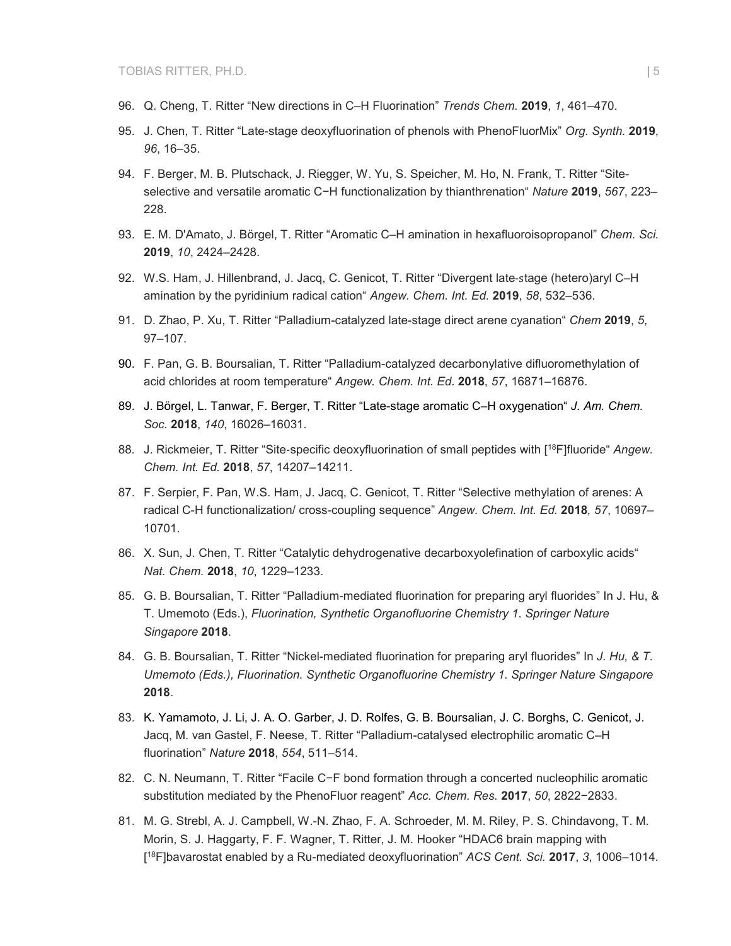- 96. Q. Cheng, T. Ritter "New directions in C–H Fluorination" *Trends Chem.* **2019**, *1*, 461–470.
- 95. J. Chen, T. Ritter "Late-stage deoxyfluorination of phenols with PhenoFluorMix" *Org. Synth.* **2019**, *96*, 16–35.
- 94. F. Berger, M. B. Plutschack, J. Riegger, W. Yu, S. Speicher, M. Ho, N. Frank, T. Ritter "Siteselective and versatile aromatic C−H functionalization by thianthrenation" *Nature* **2019**, *567*, 223– 228.
- 93. E. M. D'Amato, J. Börgel, T. Ritter "Aromatic C–H amination in hexafluoroisopropanol" *Chem. Sci.* **2019**, *10*, 2424–2428.
- 92. W.S. Ham, J. Hillenbrand, J. Jacq, C. Genicot, T. Ritter "Divergent late‑stage (hetero)aryl C–H amination by the pyridinium radical cation" *Angew. Chem. Int. Ed.* **2019**, *58*, 532–536.
- 91. D. Zhao, P. Xu, T. Ritter "Palladium-catalyzed late-stage direct arene cyanation" *Chem* **2019**, *5*, 97–107.
- 90. F. Pan, G. B. Boursalian, T. Ritter "Palladium-catalyzed decarbonylative difluoromethylation of acid chlorides at room temperature" *Angew. Chem. Int. Ed.* **2018**, *57*, 16871–16876.
- 89. J. Börgel, L. Tanwar, F. Berger, T. Ritter "Late-stage aromatic C–H oxygenation" *J. Am. Chem. Soc.* **2018**, *140*, 16026–16031.
- 88. J. Rickmeier, T. Ritter "Site‑specific deoxyfluorination of small peptides with [18F]fluoride" *Angew. Chem. Int. Ed.* **2018**, *57*, 14207–14211.
- 87. F. Serpier, F. Pan, W.S. Ham, J. Jacq, C. Genicot, T. Ritter "Selective methylation of arenes: A radical C-H functionalization/ cross-coupling sequence" *Angew. Chem. Int. Ed.* **2018***, 57*, 10697– 10701.
- 86. X. Sun, J. Chen, T. Ritter "Catalytic dehydrogenative decarboxyolefination of carboxylic acids" *Nat. Chem.* **2018**, *10*, 1229–1233.
- 85. G. B. Boursalian, T. Ritter "Palladium-mediated fluorination for preparing aryl fluorides" In J. Hu, & T. Umemoto (Eds.), *Fluorination, Synthetic Organofluorine Chemistry 1*. *Springer Nature Singapore* **2018**.
- 84. G. B. Boursalian, T. Ritter "Nickel-mediated fluorination for preparing aryl fluorides" In *J. Hu, & T. Umemoto (Eds.), Fluorination. Synthetic Organofluorine Chemistry 1. Springer Nature Singapore*  **2018**.
- 83. K. Yamamoto, J. Li, J. A. O. Garber, J. D. Rolfes, G. B. Boursalian, J. C. Borghs, C. Genicot, J. Jacq, M. van Gastel, F. Neese, T. Ritter "Palladium-catalysed electrophilic aromatic C–H fluorination" *Nature* **2018**, *554*, 511–514.
- 82. C. N. Neumann, T. Ritter "Facile C−F bond formation through a concerted nucleophilic aromatic substitution mediated by the PhenoFluor reagent" *Acc. Chem. Res.* **2017**, *50*, 2822−2833.
- 81. M. G. Strebl, A. J. Campbell, W.-N. Zhao, F. A. Schroeder, M. M. Riley, P. S. Chindavong, T. M. Morin, S. J. Haggarty, F. F. Wagner, T. Ritter, J. M. Hooker "HDAC6 brain mapping with [ 18F]bavarostat enabled by a Ru-mediated deoxyfluorination" *ACS Cent. Sci.* **2017**, *3*, 1006–1014.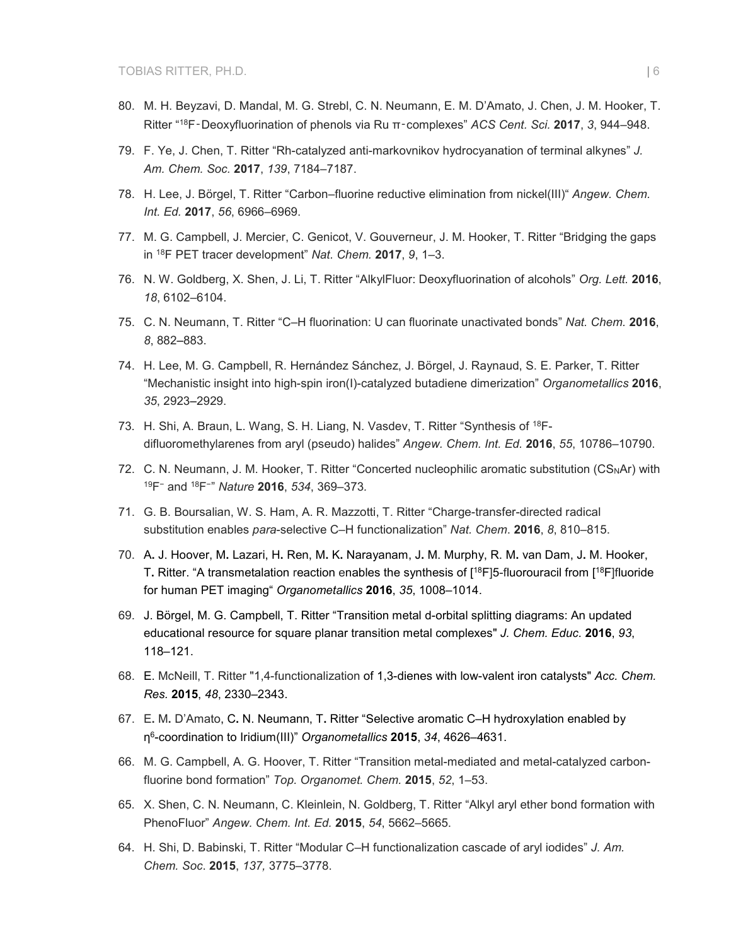- 80. M. H. Beyzavi, D. Mandal, M. G. Strebl, C. N. Neumann, E. M. D'Amato, J. Chen, J. M. Hooker, T. Ritter "18F‑Deoxyfluorination of phenols via Ru π‑complexes" *ACS Cent. Sci.* **2017**, *3*, 944–948.
- 79. F. Ye, J. Chen, T. Ritter "Rh-catalyzed anti-markovnikov hydrocyanation of terminal alkynes" *J. Am. Chem. Soc.* **2017**, *139*, 7184–7187.
- 78. H. Lee, J. Börgel, T. Ritter "Carbon–fluorine reductive elimination from nickel(III)" *Angew. Chem. Int. Ed.* **2017**, *56*, 6966–6969.
- 77. M. G. Campbell, J. Mercier, C. Genicot, V. Gouverneur, J. M. Hooker, T. Ritter "Bridging the gaps in 18F PET tracer development" *Nat. Chem.* **2017**, *9*, 1–3.
- 76. N. W. Goldberg, X. Shen, J. Li, T. Ritter "AlkylFluor: Deoxyfluorination of alcohols" *Org. Lett.* **2016**, *18*, 6102–6104.
- 75. C. N. Neumann, T. Ritter "C–H fluorination: U can fluorinate unactivated bonds" *Nat. Chem.* **2016**, *8*, 882–883.
- 74. H. Lee, M. G. Campbell, R. Hernández Sánchez, J. Börgel, J. Raynaud, S. E. Parker, T. Ritter "Mechanistic insight into high-spin iron(I)-catalyzed butadiene dimerization" *Organometallics* **2016**, *35*, 2923–2929.
- 73. H. Shi, A. Braun, L. Wang, S. H. Liang, N. Vasdev, T. Ritter "Synthesis of 18Fdifluoromethylarenes from aryl (pseudo) halides" *Angew. Chem. Int. Ed.* **2016**, *55*, 10786–10790.
- 72. C. N. Neumann, J. M. Hooker, T. Ritter "Concerted nucleophilic aromatic substitution (CS<sub>N</sub>Ar) with 19F<sup>−</sup> and 18F<sup>−</sup>" *Nature* **2016**, *534*, 369–373*.*
- 71. G. B. Boursalian, W. S. Ham, A. R. Mazzotti, T. Ritter "Charge-transfer-directed radical substitution enables *para*-selective C–H functionalization" *Nat. Chem*. **2016**, *8*, 810–815.
- 70. A**.** J. Hoover, M**.** Lazari, H**.** Ren, M**.** K**.** Narayanam, J**.** M. Murphy, R. M**.** van Dam, J**.** M. Hooker, T**.** Ritter. "A transmetalation reaction enables the synthesis of [18F]5-fluorouracil from [18F]fluoride for human PET imaging" *Organometallics* **2016**, *35*, 1008–1014.
- 69. J. Börgel, M. G. Campbell, T. Ritter "Transition metal d-orbital splitting diagrams: An updated educational resource for square planar transition metal complexes" *J. Chem. Educ.* **2016**, *93*, 118–121.
- 68. E. McNeill, T. Ritter "1,4-functionalization of 1,3-dienes with low-valent iron catalysts" *Acc. Chem. Res.* **2015**, *48*, 2330–2343.
- 67. E**.** M**.** D'Amato, C**.** [N. Neumann,](http://pubs.acs.org/action/doSearch?ContribStored=Neumann%2C+C+N) T**.** [Ritter](http://pubs.acs.org/action/doSearch?ContribStored=Ritter%2C+T) "Selective aromatic C–H hydroxylation enabled by η6-coordination to Iridium(III)" *Organometallics* **2015**, *34*, 4626–4631.
- 66. M. G. Campbell, A. G. Hoover, T. Ritter ["Transition metal-mediated and metal-catalyzed carbon](http://apps.webofknowledge.com/full_record.do?product=UA&search_mode=GeneralSearch&qid=3&SID=U2DqGVjtqJ9weS2ctBO&page=1&doc=1)[fluorine bond formation"](http://apps.webofknowledge.com/full_record.do?product=UA&search_mode=GeneralSearch&qid=3&SID=U2DqGVjtqJ9weS2ctBO&page=1&doc=1) *Top. Organomet. Chem.* **2015**, *52*, 1–53.
- 65. X. Shen, C. N. Neumann, C. Kleinlein, N. Goldberg, T. Ritter "Alkyl aryl ether bond formation with PhenoFluor" *Angew. Chem. Int. Ed.* **2015**, *54*, 5662–5665.
- 64. H. Shi, D. Babinski, T. Ritter "Modular C–H functionalization cascade of aryl iodides" *J. Am. Chem. Soc*. **2015**, *137,* 3775–3778.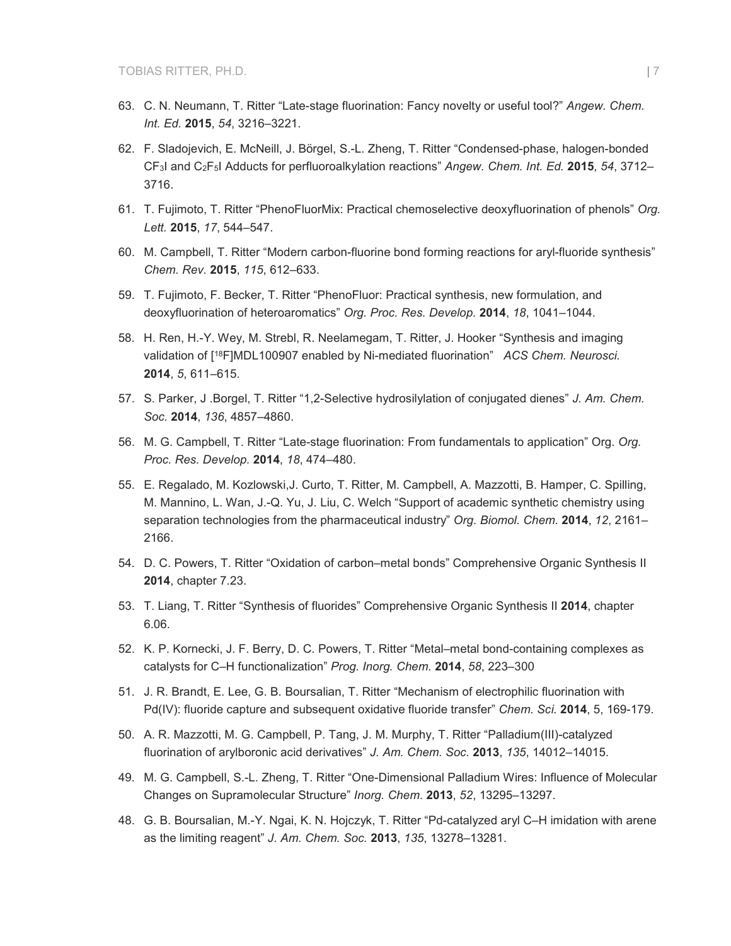- 63. C. N. Neumann, T. Ritter "Late-stage fluorination: Fancy novelty or useful tool?" *Angew. Chem. Int. Ed.* **2015**, *54*, 3216–3221.
- 62. F. Sladojevich, E. McNeill, J. Börgel, S.-L. Zheng, T. Ritter "Condensed-phase, halogen-bonded CF3I and C2F5I Adducts for perfluoroalkylation reactions" *Angew. Chem. Int. Ed.* **2015**, *54*, 3712– 3716.
- 61. T. Fujimoto, T. Ritter "PhenoFluorMix: Practical chemoselective deoxyfluorination of phenols" *Org. Lett.* **2015**, *17*, 544–547.
- 60. M. Campbell, T. Ritter "Modern carbon-fluorine bond forming reactions for aryl-fluoride synthesis" *Chem. Rev.* **2015**, *115*, 612–633.
- 59. T. Fujimoto, F. Becker, T. Ritter "PhenoFluor: Practical synthesis, new formulation, and deoxyfluorination of heteroaromatics" *Org. Proc. Res. Develop.* **2014**, *18*, 1041–1044.
- 58. H. Ren, H.-Y. Wey, M. Strebl, R. Neelamegam, T. Ritter, J. Hooker "Synthesis and imaging validation of [18F]MDL100907 enabled by Ni-mediated fluorination" *ACS Chem. Neurosci.* **2014**, *5*, 611–615.
- 57. S. Parker, J .Borgel, T. Ritter "1,2-Selective hydrosilylation of conjugated dienes" *J. Am. Chem. Soc.* **2014**, *136*, 4857–4860.
- 56. M. G. Campbell, T. Ritter "Late-stage fluorination: From fundamentals to application" Org. *Org. Proc. Res. Develop.* **2014**, *18*, 474–480.
- 55. E. Regalado, M. Kozlowski,J. Curto, T. Ritter, M. Campbell, A. Mazzotti, B. Hamper, C. Spilling, M. Mannino, L. Wan, J.-Q. Yu, J. Liu, C. Welch "Support of academic synthetic chemistry using separation technologies from the pharmaceutical industry" *Org. Biomol. Chem.* **2014**, *12*, 2161– 2166.
- 54. D. C. Powers, T. Ritter "Oxidation of carbon–metal bonds" Comprehensive Organic Synthesis II **2014**, chapter 7.23.
- 53. T. Liang, T. Ritter "Synthesis of fluorides" Comprehensive Organic Synthesis II **2014**, chapter 6.06.
- 52. K. P. Kornecki, J. F. Berry, D. C. Powers, T. Ritter "Metal–metal bond-containing complexes as catalysts for C–H functionalization" *Prog. Inorg. Chem.* **2014**, *58*, 223–300
- 51. J. R. Brandt, E. Lee, G. B. Boursalian, T. Ritter "Mechanism of electrophilic fluorination with Pd(IV): fluoride capture and subsequent oxidative fluoride transfer" *Chem. Sci.* **2014**, 5, 169-179.
- 50. A. R. Mazzotti, M. G. Campbell, P. Tang, J. M. Murphy, T. Ritter "Palladium(III)-catalyzed fluorination of arylboronic acid derivatives" *J. Am. Chem. Soc.* **2013**, *135*, 14012–14015.
- 49. M. G. Campbell, S.-L. Zheng, T. Ritter ["One-Dimensional Palladium Wires: Influence of Molecular](http://pubs.acs.org.ezp-prod1.hul.harvard.edu/doi/abs/10.1021/ic4019635?prevSearch=%255BContrib%253A%2Britter%255D&searchHistoryKey=)  [Changes on Supramolecular Structure"](http://pubs.acs.org.ezp-prod1.hul.harvard.edu/doi/abs/10.1021/ic4019635?prevSearch=%255BContrib%253A%2Britter%255D&searchHistoryKey=) *Inorg. Chem*. **2013**, *52*, 13295–13297.
- 48. G. B. Boursalian, M.-Y. Ngai, K. N. Hojczyk, T. Ritter ["Pd-catalyzed aryl C–H imidation with arene](http://pubs.acs.org.ezp-prod1.hul.harvard.edu/doi/abs/10.1021/ja4064926?prevSearch=%255BContrib%253A%2Britter%255D&searchHistoryKey=)  [as the limiting reagent"](http://pubs.acs.org.ezp-prod1.hul.harvard.edu/doi/abs/10.1021/ja4064926?prevSearch=%255BContrib%253A%2Britter%255D&searchHistoryKey=) *J. Am. Chem. Soc.* **2013**, *135*, 13278–13281.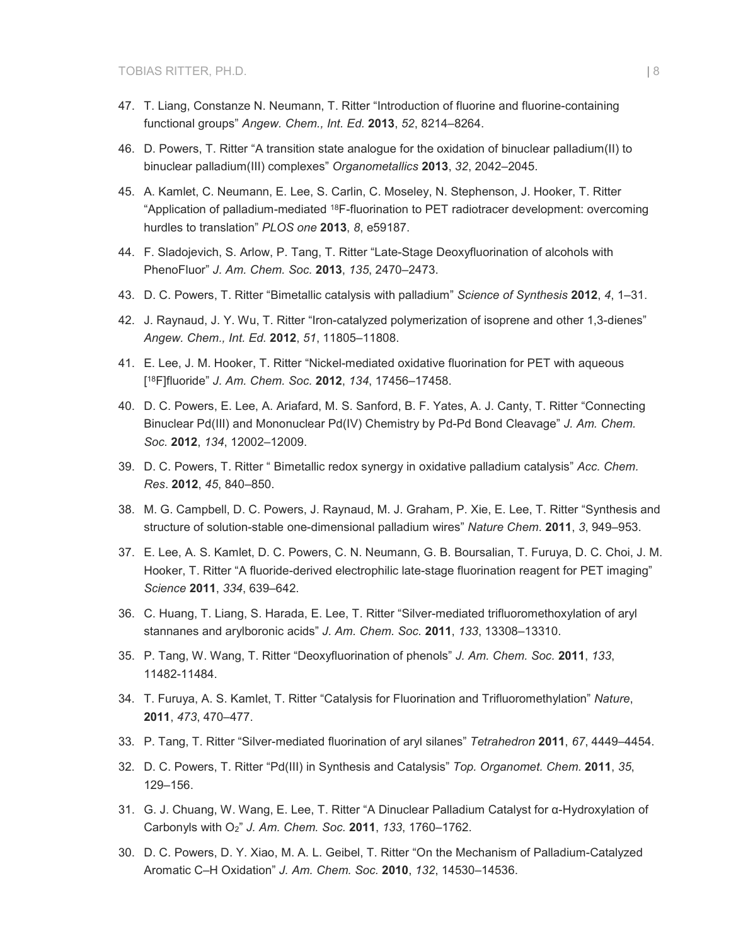- 47. T. Liang, Constanze N. Neumann, T. Ritter "Introduction of fluorine and fluorine-containing functional groups" *Angew. Chem., Int. Ed.* **2013**, *52*, 8214–8264.
- 46. D. Powers, T. Ritter "A transition state analogue for the oxidation of binuclear palladium(II) to binuclear palladium(III) complexes" *Organometallics* **2013**, *32*, 2042–2045.
- 45. A. Kamlet, C. Neumann, E. Lee, S. Carlin, C. Moseley, N. Stephenson, J. Hooker, T. Ritter "Application of palladium-mediated 18F-fluorination to PET radiotracer development: overcoming hurdles to translation" *PLOS one* **2013**, *8*, e59187.
- 44. F. Sladojevich, S. Arlow, P. Tang, T. Ritter "Late-Stage Deoxyfluorination of alcohols with PhenoFluor" *J. Am. Chem. Soc.* **2013**, *135*, 2470–2473.
- 43. D. C. Powers, T. Ritter "Bimetallic catalysis with palladium" *Science of Synthesis* **2012**, *4*, 1–31.
- 42. J. Raynaud, J. Y. Wu, T. Ritter "Iron-catalyzed polymerization of isoprene and other 1,3-dienes" *Angew. Chem., Int. Ed.* **2012**, *51*, 11805–11808.
- 41. E. Lee, J. M. Hooker, T. Ritter "Nickel-mediated oxidative fluorination for PET with aqueous [ 18F]fluoride" *J. Am. Chem. Soc.* **2012**, *134*, 17456–17458.
- 40. D. C. Powers, E. Lee, A. Ariafard, M. S. Sanford, B. F. Yates, A. J. Canty, T. Ritter "Connecting Binuclear Pd(III) and Mononuclear Pd(IV) Chemistry by Pd-Pd Bond Cleavage" *J. Am. Chem. Soc.* **2012**, *134*, 12002–12009.
- 39. D. C. Powers, T. Ritter " Bimetallic redox synergy in oxidative palladium catalysis" *Acc. Chem. Res*. **2012**, *45*, 840–850.
- 38. M. G. Campbell, D. C. Powers, J. Raynaud, M. J. Graham, P. Xie, E. Lee, T. Ritter "Synthesis and structure of solution-stable one-dimensional palladium wires" *Nature Chem*. **2011**, *3*, 949–953.
- 37. E. Lee, A. S. Kamlet, D. C. Powers, C. N. Neumann, G. B. Boursalian, T. Furuya, D. C. Choi, J. M. Hooker, T. Ritter "A fluoride-derived electrophilic late-stage fluorination reagent for PET imaging" *Science* **2011**, *334*, 639–642.
- 36. C. Huang, T. Liang, S. Harada, E. Lee, T. Ritter "Silver-mediated trifluoromethoxylation of aryl stannanes and arylboronic acids" *J. Am. Chem. Soc.* **2011**, *133*, 13308–13310.
- 35. P. Tang, W. Wang, T. Ritter "Deoxyfluorination of phenols" *J. Am. Chem. Soc.* **2011**, *133*, 11482-11484.
- 34. T. Furuya, A. S. Kamlet, T. Ritter "Catalysis for Fluorination and Trifluoromethylation" *Nature*, **2011**, *473*, 470–477.
- 33. P. Tang, T. Ritter "Silver-mediated fluorination of aryl silanes" *Tetrahedron* **2011**, *67*, 4449–4454.
- 32. D. C. Powers, T. Ritter "Pd(III) in Synthesis and Catalysis" *Top. Organomet. Chem.* **2011**, *35*, 129–156.
- 31. G. J. Chuang, W. Wang, E. Lee, T. Ritter "A Dinuclear Palladium Catalyst for α-Hydroxylation of Carbonyls with O2" *J. Am. Chem. Soc.* **2011**, *133*, 1760–1762.
- 30. D. C. Powers, D. Y. Xiao, M. A. L. Geibel, T. Ritter "On the Mechanism of Palladium-Catalyzed Aromatic C–H Oxidation" *J. Am. Chem. Soc.* **2010**, *132*, 14530–14536.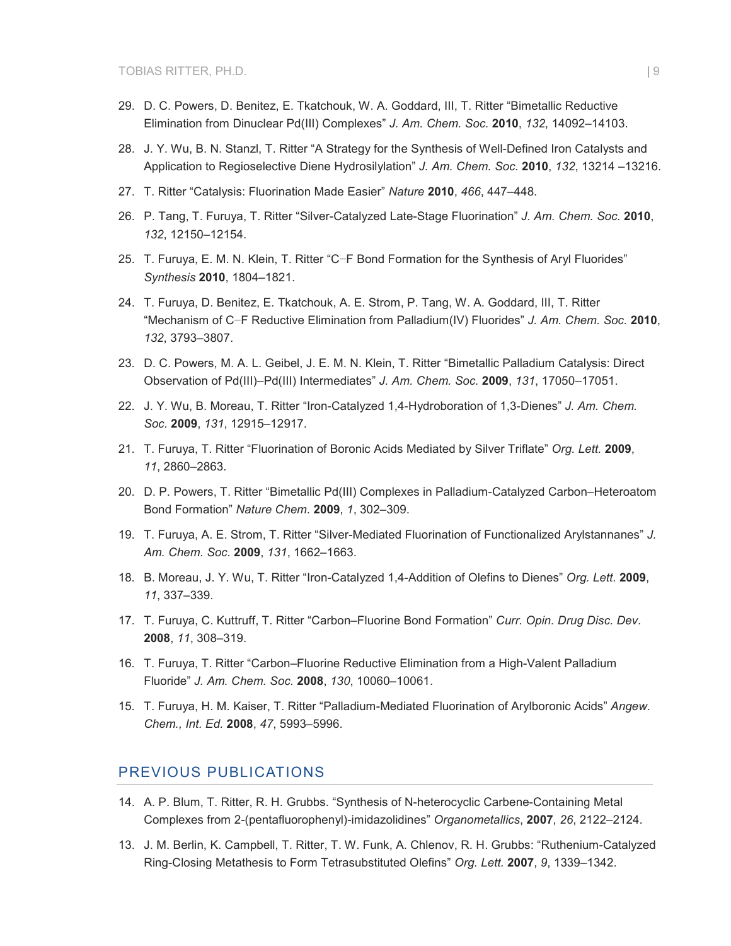- 29. D. C. Powers, D. Benitez, E. Tkatchouk, W. A. Goddard, III, T. Ritter "Bimetallic Reductive Elimination from Dinuclear Pd(III) Complexes" *J. Am. Chem. Soc.* **2010**, *132*, 14092–14103.
- 28. J. Y. Wu, B. N. Stanzl, T. Ritter "A Strategy for the Synthesis of Well-Defined Iron Catalysts and Application to Regioselective Diene Hydrosilylation" *J. Am. Chem. Soc.* **2010**, *132*, 13214 –13216.
- 27. T. Ritter "Catalysis: Fluorination Made Easier" *Nature* **2010**, *466*, 447–448.
- 26. P. Tang, T. Furuya, T. Ritter "Silver-Catalyzed Late-Stage Fluorination" *J. Am. Chem. Soc.* **2010**, *132*, 12150–12154.
- 25. T. Furuya, E. M. N. Klein, T. Ritter "C−F Bond Formation for the Synthesis of Aryl Fluorides" *Synthesis* **2010**, 1804–1821.
- 24. T. Furuya, D. Benitez, E. Tkatchouk, A. E. Strom, P. Tang, W. A. Goddard, III, T. Ritter "Mechanism of C−F Reductive Elimination from Palladium(IV) Fluorides" *J. Am. Chem. Soc.* **2010**, *132*, 3793–3807.
- 23. D. C. Powers, M. A. L. Geibel, J. E. M. N. Klein, T. Ritter "Bimetallic Palladium Catalysis: Direct Observation of Pd(III)–Pd(III) Intermediates" *J. Am. Chem. Soc.* **2009**, *131*, 17050–17051.
- 22. J. Y. Wu, B. Moreau, T. Ritter "Iron-Catalyzed 1,4-Hydroboration of 1,3-Dienes" *J. Am. Chem. Soc.* **2009**, *131*, 12915–12917.
- 21. T. Furuya, T. Ritter "Fluorination of Boronic Acids Mediated by Silver Triflate" *Org. Lett.* **2009**, *11*, 2860–2863.
- 20. D. P. Powers, T. Ritter "Bimetallic Pd(III) Complexes in Palladium-Catalyzed Carbon–Heteroatom Bond Formation" *Nature Chem*. **2009**, *1*, 302–309.
- 19. T. Furuya, A. E. Strom, T. Ritter "Silver-Mediated Fluorination of Functionalized Arylstannanes" *J. Am. Chem. Soc.* **2009**, *131*, 1662–1663.
- 18. B. Moreau, J. Y. Wu, T. Ritter "Iron-Catalyzed 1,4-Addition of Olefins to Dienes" *Org. Lett.* **2009**, *11*, 337–339.
- 17. T. Furuya, C. Kuttruff, T. Ritter "Carbon–Fluorine Bond Formation" *Curr. Opin. Drug Disc. Dev*. **2008**, *11*, 308–319.
- 16. T. Furuya, T. Ritter "Carbon–Fluorine Reductive Elimination from a High-Valent Palladium Fluoride" *J. Am. Chem. Soc.* **2008**, *130*, 10060–10061.
- 15. T. Furuya, H. M. Kaiser, T. Ritter "Palladium-Mediated Fluorination of Arylboronic Acids" *Angew. Chem., Int. Ed.* **2008**, *47*, 5993–5996.

#### PREVIOUS PUBLICATIONS

- 14. A. P. Blum, T. Ritter, R. H. Grubbs. "Synthesis of N-heterocyclic Carbene-Containing Metal Complexes from 2-(pentafluorophenyl)-imidazolidines" *Organometallics*, **2007**, *26*, 2122–2124.
- 13. J. M. Berlin, K. Campbell, T. Ritter, T. W. Funk, A. Chlenov, R. H. Grubbs: "Ruthenium-Catalyzed Ring-Closing Metathesis to Form Tetrasubstituted Olefins" *Org. Lett.* **2007**, *9*, 1339–1342.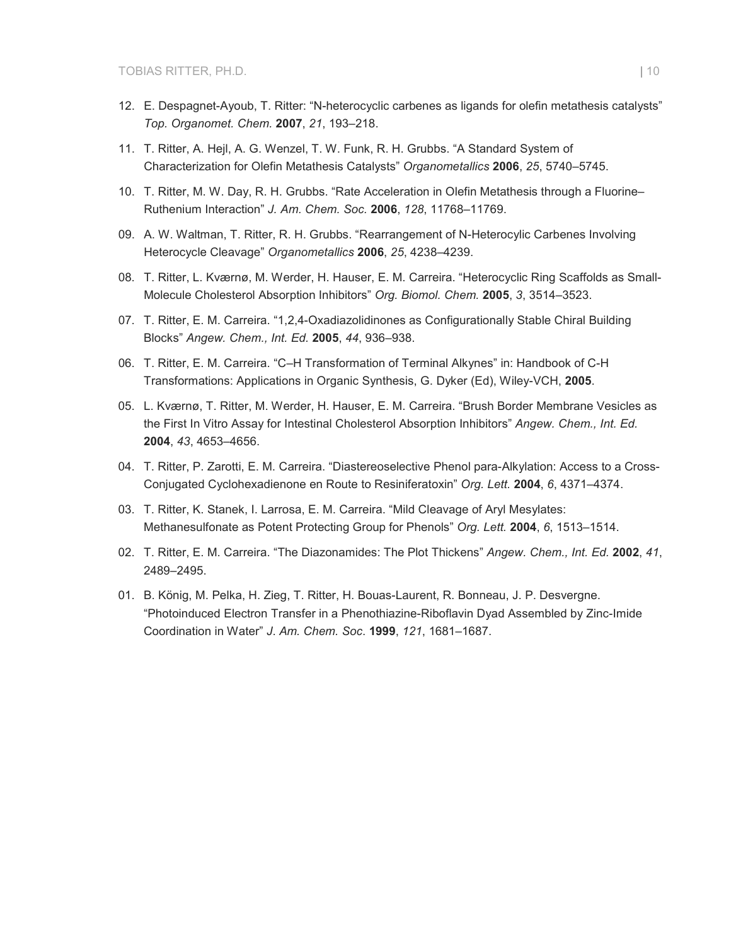- 12. E. Despagnet-Ayoub, T. Ritter: "N-heterocyclic carbenes as ligands for olefin metathesis catalysts" *Top. Organomet. Chem.* **2007**, *21*, 193–218.
- 11. T. Ritter, A. Hejl, A. G. Wenzel, T. W. Funk, R. H. Grubbs. "A Standard System of Characterization for Olefin Metathesis Catalysts" *Organometallics* **2006**, *25*, 5740–5745.
- 10. T. Ritter, M. W. Day, R. H. Grubbs. "Rate Acceleration in Olefin Metathesis through a Fluorine– Ruthenium Interaction" *J. Am. Chem. Soc.* **2006**, *128*, 11768–11769.
- 09. A. W. Waltman, T. Ritter, R. H. Grubbs. "Rearrangement of N-Heterocylic Carbenes Involving Heterocycle Cleavage" *Organometallics* **2006**, *25*, 4238–4239.
- 08. T. Ritter, L. Kværnø, M. Werder, H. Hauser, E. M. Carreira. "Heterocyclic Ring Scaffolds as Small-Molecule Cholesterol Absorption Inhibitors" *Org. Biomol. Chem.* **2005**, *3*, 3514–3523.
- 07. T. Ritter, E. M. Carreira. "1,2,4-Oxadiazolidinones as Configurationally Stable Chiral Building Blocks" *Angew. Chem., Int. Ed.* **2005**, *44*, 936–938.
- 06. T. Ritter, E. M. Carreira. "C–H Transformation of Terminal Alkynes" in: Handbook of C-H Transformations: Applications in Organic Synthesis, G. Dyker (Ed), Wiley-VCH, **2005**.
- 05. L. Kværnø, T. Ritter, M. Werder, H. Hauser, E. M. Carreira. "Brush Border Membrane Vesicles as the First In Vitro Assay for Intestinal Cholesterol Absorption Inhibitors" *Angew. Chem., Int. Ed.* **2004**, *43*, 4653–4656.
- 04. T. Ritter, P. Zarotti, E. M. Carreira. "Diastereoselective Phenol para-Alkylation: Access to a Cross-Conjugated Cyclohexadienone en Route to Resiniferatoxin" *Org. Lett.* **2004**, *6*, 4371–4374.
- 03. T. Ritter, K. Stanek, I. Larrosa, E. M. Carreira. "Mild Cleavage of Aryl Mesylates: Methanesulfonate as Potent Protecting Group for Phenols" *Org. Lett.* **2004**, *6*, 1513–1514.
- 02. T. Ritter, E. M. Carreira. "The Diazonamides: The Plot Thickens" *Angew. Chem., Int. Ed.* **2002**, *41*, 2489–2495.
- 01. B. König, M. Pelka, H. Zieg, T. Ritter, H. Bouas-Laurent, R. Bonneau, J. P. Desvergne. "Photoinduced Electron Transfer in a Phenothiazine-Riboflavin Dyad Assembled by Zinc-Imide Coordination in Water" *J*. *Am. Chem. Soc*. **1999**, *121*, 1681–1687.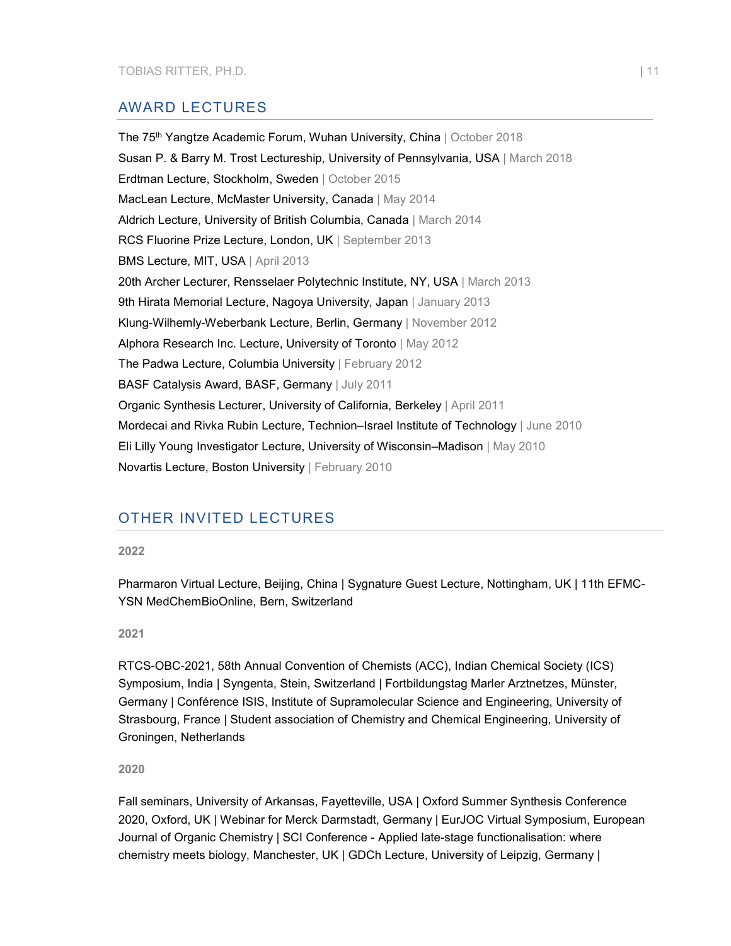## AWARD LECTURES

The 75<sup>th</sup> Yangtze Academic Forum, Wuhan University, China | October 2018 Susan P. & Barry M. Trost Lectureship, University of Pennsylvania, USA | March 2018 Erdtman Lecture, Stockholm, Sweden | October 2015 MacLean Lecture, McMaster University, Canada | May 2014 Aldrich Lecture, University of British Columbia, Canada | March 2014 RCS Fluorine Prize Lecture, London, UK | September 2013 BMS Lecture, MIT, USA | April 2013 20th Archer Lecturer, Rensselaer Polytechnic Institute, NY, USA | March 2013 9th Hirata Memorial Lecture, Nagoya University, Japan | January 2013 Klung-Wilhemly-Weberbank Lecture, Berlin, Germany | November 2012 Alphora Research Inc. Lecture, University of Toronto | May 2012 The Padwa Lecture, Columbia University | February 2012 BASF Catalysis Award, BASF, Germany | July 2011 Organic Synthesis Lecturer, University of California, Berkeley | April 2011 Mordecai and Rivka Rubin Lecture, Technion–Israel Institute of Technology | June 2010 Eli Lilly Young Investigator Lecture, University of Wisconsin–Madison | May 2010 Novartis Lecture, Boston University | February 2010

## OTHER INVITED LECTURES

**2022**

Pharmaron Virtual Lecture, Beijing, China | Sygnature Guest Lecture, Nottingham, UK | 11th EFMC-YSN MedChemBioOnline, Bern, Switzerland

#### **2021**

RTCS-OBC-2021, 58th Annual Convention of Chemists (ACC), Indian Chemical Society (ICS) Symposium, India | Syngenta, Stein, Switzerland | Fortbildungstag Marler Arztnetzes, Münster, Germany | Conférence ISIS, Institute of Supramolecular Science and Engineering, University of Strasbourg, France | Student association of Chemistry and Chemical Engineering, University of Groningen, Netherlands

**2020**

Fall seminars, University of Arkansas, Fayetteville, USA | Oxford Summer Synthesis Conference 2020, Oxford, UK | Webinar for Merck Darmstadt, Germany | EurJOC Virtual Symposium, European Journal of Organic Chemistry | SCI Conference - Applied late-stage functionalisation: where chemistry meets biology, Manchester, UK | GDCh Lecture, University of Leipzig, Germany |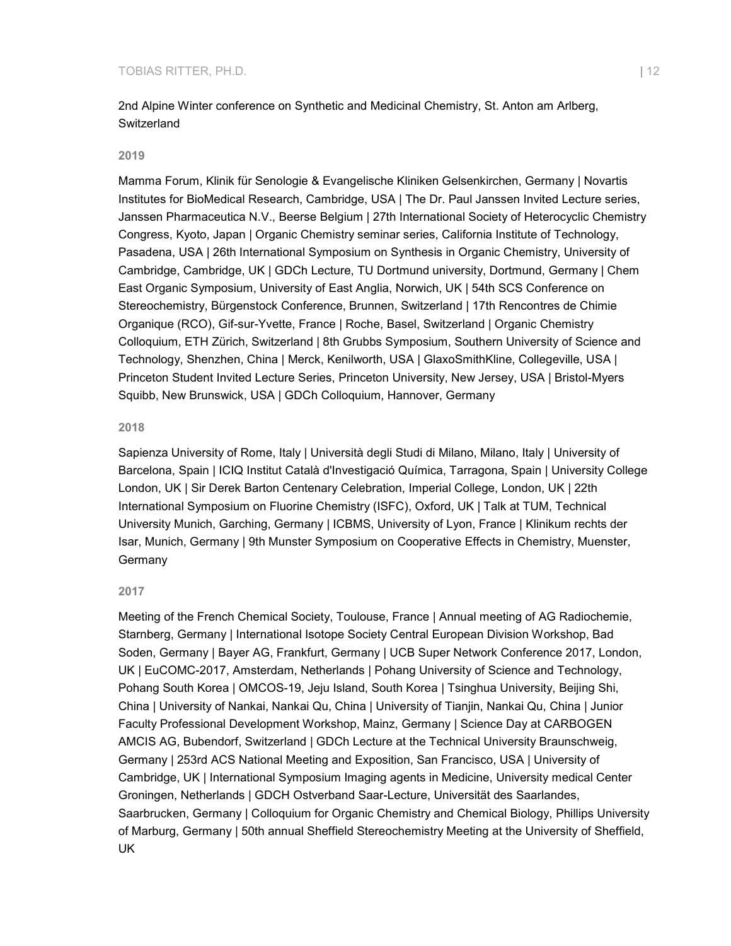2nd Alpine Winter conference on Synthetic and Medicinal Chemistry, St. Anton am Arlberg, **Switzerland** 

#### **2019**

Mamma Forum, Klinik für Senologie & Evangelische Kliniken Gelsenkirchen, Germany | Novartis Institutes for BioMedical Research, Cambridge, USA | The Dr. Paul Janssen Invited Lecture series, Janssen Pharmaceutica N.V., Beerse Belgium | 27th International Society of Heterocyclic Chemistry Congress, Kyoto, Japan | Organic Chemistry seminar series, California Institute of Technology, Pasadena, USA | 26th International Symposium on Synthesis in Organic Chemistry, University of Cambridge, Cambridge, UK | GDCh Lecture, TU Dortmund university, Dortmund, Germany | Chem East Organic Symposium, University of East Anglia, Norwich, UK | 54th SCS Conference on Stereochemistry, Bürgenstock Conference, Brunnen, Switzerland | 17th Rencontres de Chimie Organique (RCO), Gif-sur-Yvette, France | Roche, Basel, Switzerland | Organic Chemistry Colloquium, ETH Zürich, Switzerland | 8th Grubbs Symposium, Southern University of Science and Technology, Shenzhen, China | Merck, Kenilworth, USA | GlaxoSmithKline, Collegeville, USA | Princeton Student Invited Lecture Series, Princeton University, New Jersey, USA | Bristol-Myers Squibb, New Brunswick, USA | GDCh Colloquium, Hannover, Germany

#### **2018**

Sapienza University of Rome, Italy | Università degli Studi di Milano, Milano, Italy | University of Barcelona, Spain | ICIQ Institut Català d'Investigació Química, Tarragona, Spain | University College London, UK | Sir Derek Barton Centenary Celebration, Imperial College, London, UK | 22th International Symposium on Fluorine Chemistry (ISFC), Oxford, UK | Talk at TUM, Technical University Munich, Garching, Germany | ICBMS, University of Lyon, France | Klinikum rechts der Isar, Munich, Germany | 9th Munster Symposium on Cooperative Effects in Chemistry, Muenster, Germany

#### **2017**

Meeting of the French Chemical Society, Toulouse, France | Annual meeting of AG Radiochemie, Starnberg, Germany | International Isotope Society Central European Division Workshop, Bad Soden, Germany | Bayer AG, Frankfurt, Germany | UCB Super Network Conference 2017, London, UK | EuCOMC-2017, Amsterdam, Netherlands | Pohang University of Science and Technology, Pohang South Korea | OMCOS-19, Jeju Island, South Korea | Tsinghua University, Beijing Shi, China | University of Nankai, Nankai Qu, China | University of Tianjin, Nankai Qu, China | Junior Faculty Professional Development Workshop, Mainz, Germany | Science Day at CARBOGEN AMCIS AG, Bubendorf, Switzerland | GDCh Lecture at the Technical University Braunschweig, Germany | 253rd ACS National Meeting and Exposition, San Francisco, USA | University of Cambridge, UK | International Symposium Imaging agents in Medicine, University medical Center Groningen, Netherlands | GDCH Ostverband Saar-Lecture, Universität des Saarlandes, Saarbrucken, Germany | Colloquium for Organic Chemistry and Chemical Biology, Phillips University of Marburg, Germany | 50th annual Sheffield Stereochemistry Meeting at the University of Sheffield, UK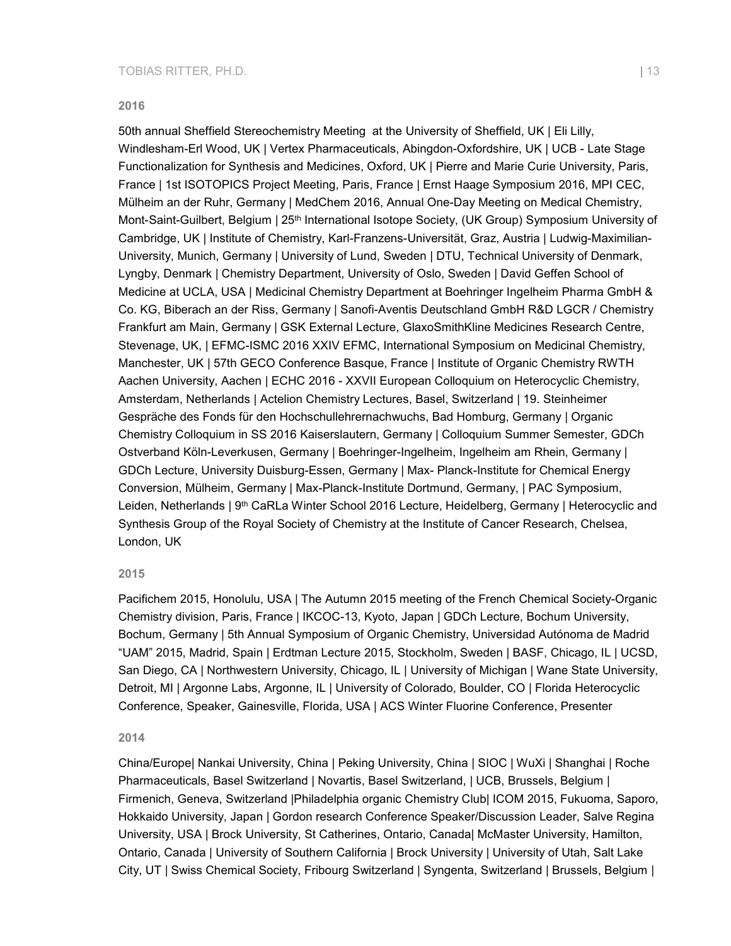#### **2016**

50th annual Sheffield Stereochemistry Meeting at the University of Sheffield, UK | Eli Lilly, Windlesham-Erl Wood, UK | Vertex Pharmaceuticals, Abingdon-Oxfordshire, UK | UCB - Late Stage Functionalization for Synthesis and Medicines, Oxford, UK | Pierre and Marie Curie University, Paris, France | 1st ISOTOPICS Project Meeting, Paris, France | Ernst Haage Symposium 2016, MPI CEC, Mülheim an der Ruhr, Germany | MedChem 2016, Annual One-Day Meeting on Medical Chemistry, Mont-Saint-Guilbert, Belgium | 25<sup>th</sup> International Isotope Society, (UK Group) Symposium University of Cambridge, UK | Institute of Chemistry, Karl-Franzens-Universität, Graz, Austria | Ludwig-Maximilian-University, Munich, Germany | University of Lund, Sweden | DTU, Technical University of Denmark, Lyngby, Denmark | Chemistry Department, University of Oslo, Sweden | David Geffen School of Medicine at UCLA, USA | Medicinal Chemistry Department at Boehringer Ingelheim Pharma GmbH & Co. KG, Biberach an der Riss, Germany | Sanofi-Aventis Deutschland GmbH R&D LGCR / Chemistry Frankfurt am Main, Germany | GSK External Lecture, GlaxoSmithKline Medicines Research Centre, Stevenage, UK, | EFMC-ISMC 2016 XXIV EFMC, International Symposium on Medicinal Chemistry, Manchester, UK | 57th GECO Conference Basque, France | Institute of Organic Chemistry RWTH Aachen University, Aachen | ECHC 2016 - XXVII European Colloquium on Heterocyclic Chemistry, Amsterdam, Netherlands | Actelion Chemistry Lectures, Basel, Switzerland | 19. Steinheimer Gespräche des Fonds für den Hochschullehrernachwuchs, Bad Homburg, Germany | Organic Chemistry Colloquium in SS 2016 Kaiserslautern, Germany | Colloquium Summer Semester, GDCh Ostverband Köln-Leverkusen, Germany | Boehringer-Ingelheim, Ingelheim am Rhein, Germany | GDCh Lecture, University Duisburg-Essen, Germany | Max- Planck-Institute for Chemical Energy Conversion, Mülheim, Germany | Max-Planck-Institute Dortmund, Germany, | PAC Symposium, Leiden, Netherlands | 9<sup>th</sup> CaRLa Winter School 2016 Lecture, Heidelberg, Germany | Heterocyclic and Synthesis Group of the Royal Society of Chemistry at the Institute of Cancer Research, Chelsea, London, UK

#### **2015**

Pacifichem 2015, Honolulu, USA | The Autumn 2015 meeting of the French Chemical Society-Organic Chemistry division, Paris, France | IKCOC-13, Kyoto, Japan | GDCh Lecture, Bochum University, Bochum, Germany | 5th Annual Symposium of Organic Chemistry, Universidad Autónoma de Madrid "UAM" 2015, Madrid, Spain | Erdtman Lecture 2015, Stockholm, Sweden | BASF, Chicago, IL | UCSD, San Diego, CA | Northwestern University, Chicago, IL | University of Michigan | Wane State University, Detroit, MI | Argonne Labs, Argonne, IL | University of Colorado, Boulder, CO | Florida Heterocyclic Conference, Speaker, Gainesville, Florida, USA | ACS Winter Fluorine Conference, Presenter

#### **2014**

China/Europe| Nankai University, China | Peking University, China | SIOC | WuXi | Shanghai | Roche Pharmaceuticals, Basel Switzerland | Novartis, Basel Switzerland, | UCB, Brussels, Belgium | Firmenich, Geneva, Switzerland |Philadelphia organic Chemistry Club| ICOM 2015, Fukuoma, Saporo, Hokkaido University, Japan | Gordon research Conference Speaker/Discussion Leader, Salve Regina University, USA | Brock University, St Catherines, Ontario, Canada| McMaster University, Hamilton, Ontario, Canada | University of Southern California | Brock University | University of Utah, Salt Lake City, UT | Swiss Chemical Society, Fribourg Switzerland | Syngenta, Switzerland | Brussels, Belgium |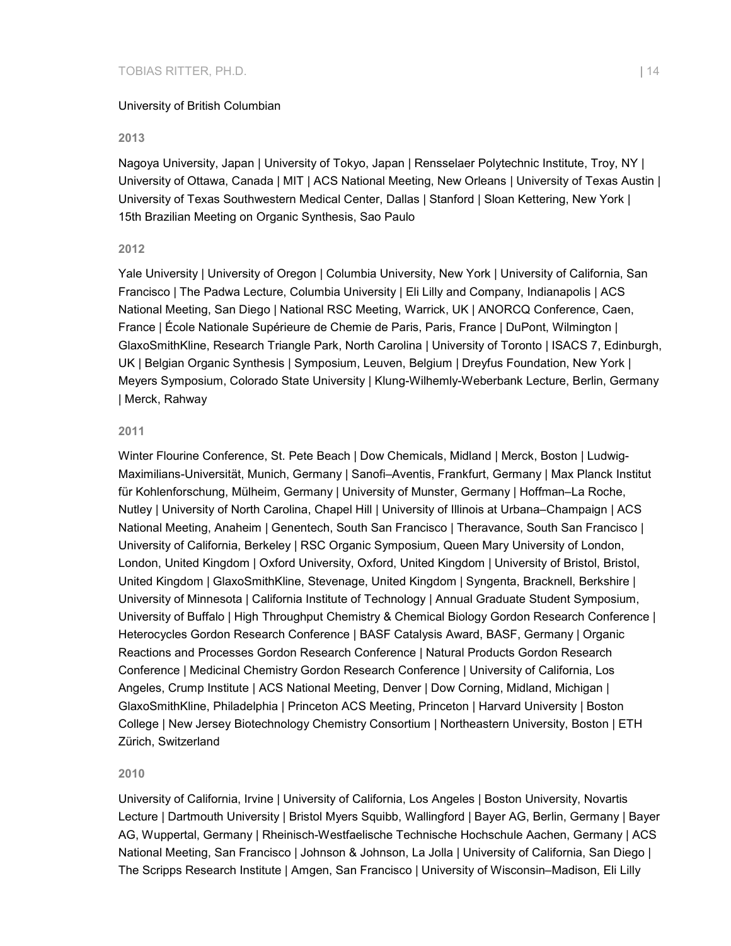#### University of British Columbian

#### **2013**

Nagoya University, Japan | University of Tokyo, Japan | Rensselaer Polytechnic Institute, Troy, NY | University of Ottawa, Canada | MIT | ACS National Meeting, New Orleans | University of Texas Austin | University of Texas Southwestern Medical Center, Dallas | Stanford | Sloan Kettering, New York | 15th Brazilian Meeting on Organic Synthesis, Sao Paulo

#### **2012**

Yale University | University of Oregon | Columbia University, New York | University of California, San Francisco | The Padwa Lecture, Columbia University | Eli Lilly and Company, Indianapolis | ACS National Meeting, San Diego | National RSC Meeting, Warrick, UK | ANORCQ Conference, Caen, France | École Nationale Supérieure de Chemie de Paris, Paris, France | DuPont, Wilmington | GlaxoSmithKline, Research Triangle Park, North Carolina | University of Toronto | ISACS 7, Edinburgh, UK | Belgian Organic Synthesis | Symposium, Leuven, Belgium | Dreyfus Foundation, New York | Meyers Symposium, Colorado State University | Klung-Wilhemly-Weberbank Lecture, Berlin, Germany | Merck, Rahway

#### **2011**

Winter Flourine Conference, St. Pete Beach | Dow Chemicals, Midland | Merck, Boston | Ludwig-Maximilians-Universität, Munich, Germany | Sanofi–Aventis, Frankfurt, Germany | Max Planck Institut für Kohlenforschung, Mülheim, Germany | University of Munster, Germany | Hoffman–La Roche, Nutley | University of North Carolina, Chapel Hill | University of Illinois at Urbana–Champaign | ACS National Meeting, Anaheim | Genentech, South San Francisco | Theravance, South San Francisco | University of California, Berkeley | RSC Organic Symposium, Queen Mary University of London, London, United Kingdom | Oxford University, Oxford, United Kingdom | University of Bristol, Bristol, United Kingdom | GlaxoSmithKline, Stevenage, United Kingdom | Syngenta, Bracknell, Berkshire | University of Minnesota | California Institute of Technology | Annual Graduate Student Symposium, University of Buffalo | High Throughput Chemistry & Chemical Biology Gordon Research Conference | Heterocycles Gordon Research Conference | BASF Catalysis Award, BASF, Germany | Organic Reactions and Processes Gordon Research Conference | Natural Products Gordon Research Conference | Medicinal Chemistry Gordon Research Conference | University of California, Los Angeles, Crump Institute | ACS National Meeting, Denver | Dow Corning, Midland, Michigan | GlaxoSmithKline, Philadelphia | Princeton ACS Meeting, Princeton | Harvard University | Boston College | New Jersey Biotechnology Chemistry Consortium | Northeastern University, Boston | ETH Zürich, Switzerland

#### **2010**

University of California, Irvine | University of California, Los Angeles | Boston University, Novartis Lecture | Dartmouth University | Bristol Myers Squibb, Wallingford | Bayer AG, Berlin, Germany | Bayer AG, Wuppertal, Germany | Rheinisch-Westfaelische Technische Hochschule Aachen, Germany | ACS National Meeting, San Francisco | Johnson & Johnson, La Jolla | University of California, San Diego | The Scripps Research Institute | Amgen, San Francisco | University of Wisconsin–Madison, Eli Lilly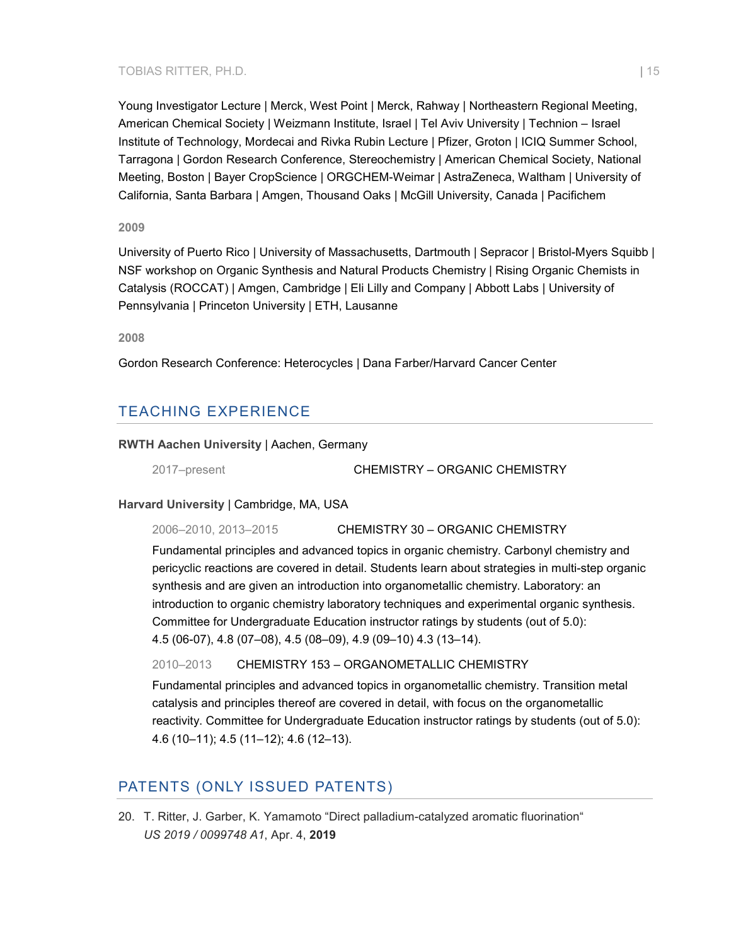#### TOBIAS RITTER, PH.D. | 15

Young Investigator Lecture | Merck, West Point | Merck, Rahway | Northeastern Regional Meeting, American Chemical Society | Weizmann Institute, Israel | Tel Aviv University | Technion – Israel Institute of Technology, Mordecai and Rivka Rubin Lecture | Pfizer, Groton | ICIQ Summer School, Tarragona | Gordon Research Conference, Stereochemistry | American Chemical Society, National Meeting, Boston | Bayer CropScience | ORGCHEM-Weimar | AstraZeneca, Waltham | University of California, Santa Barbara | Amgen, Thousand Oaks | McGill University, Canada | Pacifichem

#### **2009**

University of Puerto Rico | University of Massachusetts, Dartmouth | Sepracor | Bristol-Myers Squibb | NSF workshop on Organic Synthesis and Natural Products Chemistry | Rising Organic Chemists in Catalysis (ROCCAT) | Amgen, Cambridge | Eli Lilly and Company | Abbott Labs | University of Pennsylvania | Princeton University | ETH, Lausanne

**2008**

Gordon Research Conference: Heterocycles | Dana Farber/Harvard Cancer Center

## TEACHING EXPERIENCE

#### **RWTH Aachen University** | Aachen, Germany

2017–present CHEMISTRY – ORGANIC CHEMISTRY

#### **Harvard University** | Cambridge, MA, USA

2006–2010, 2013–2015 CHEMISTRY 30 – ORGANIC CHEMISTRY

Fundamental principles and advanced topics in organic chemistry. Carbonyl chemistry and pericyclic reactions are covered in detail. Students learn about strategies in multi-step organic synthesis and are given an introduction into organometallic chemistry. Laboratory: an introduction to organic chemistry laboratory techniques and experimental organic synthesis. Committee for Undergraduate Education instructor ratings by students (out of 5.0): 4.5 (06-07), 4.8 (07–08), 4.5 (08–09), 4.9 (09–10) 4.3 (13–14).

#### 2010–2013 CHEMISTRY 153 – ORGANOMETALLIC CHEMISTRY

Fundamental principles and advanced topics in organometallic chemistry. Transition metal catalysis and principles thereof are covered in detail, with focus on the organometallic reactivity. Committee for Undergraduate Education instructor ratings by students (out of 5.0): 4.6 (10–11); 4.5 (11–12); 4.6 (12–13).

## PATENTS (ONLY ISSUED PATENTS)

20. T. Ritter, J. Garber, K. Yamamoto "Direct palladium-catalyzed aromatic fluorination" *US 2019 / 0099748 A1*, Apr. 4, **2019**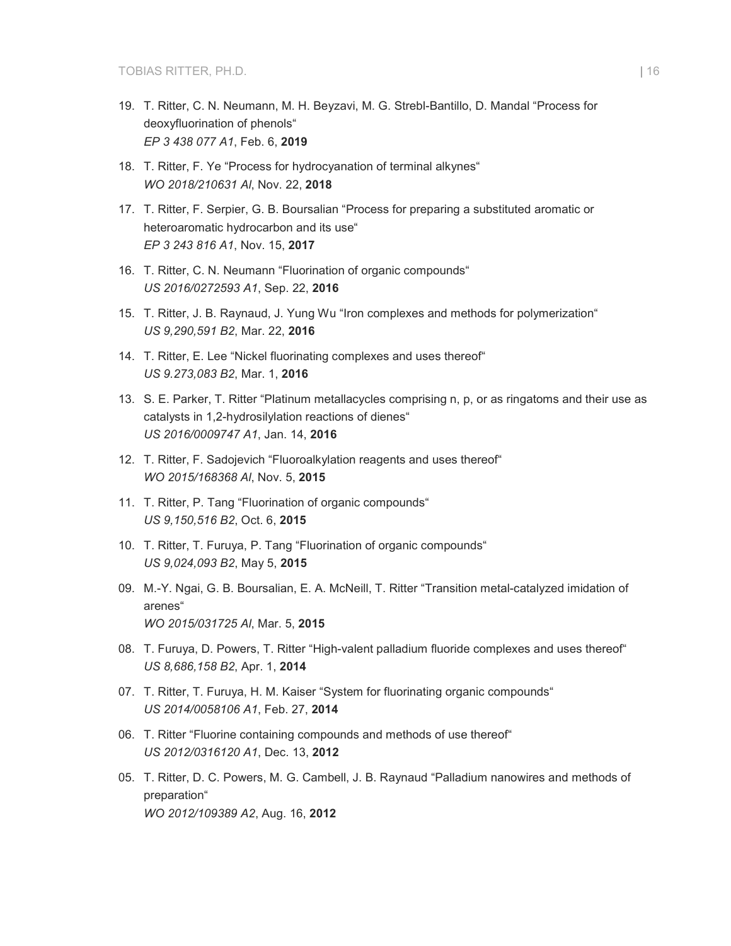- 19. T. Ritter, C. N. Neumann, M. H. Beyzavi, M. G. Strebl-Bantillo, D. Mandal "Process for deoxyfluorination of phenols" *EP 3 438 077 A1*, Feb. 6, **2019**
- 18. T. Ritter, F. Ye "Process for hydrocyanation of terminal alkynes" *WO 2018/210631 Al*, Nov. 22, **2018**
- 17. T. Ritter, F. Serpier, G. B. Boursalian "Process for preparing a substituted aromatic or heteroaromatic hydrocarbon and its use" *EP 3 243 816 A1*, Nov. 15, **2017**
- 16. T. Ritter, C. N. Neumann "Fluorination of organic compounds" *US 2016/0272593 A1*, Sep. 22, **2016**
- 15. T. Ritter, J. B. Raynaud, J. Yung Wu "Iron complexes and methods for polymerization" *US 9,290,591 B2*, Mar. 22, **2016**
- 14. T. Ritter, E. Lee "Nickel fluorinating complexes and uses thereof" *US 9.273,083 B2*, Mar. 1, **2016**
- 13. S. E. Parker, T. Ritter "Platinum metallacycles comprising n, p, or as ringatoms and their use as catalysts in 1,2-hydrosilylation reactions of dienes" *US 2016/0009747 A1*, Jan. 14, **2016**
- 12. T. Ritter, F. Sadojevich "Fluoroalkylation reagents and uses thereof" *WO 2015/168368 Al*, Nov. 5, **2015**
- 11. T. Ritter, P. Tang "Fluorination of organic compounds" *US 9,150,516 B2*, Oct. 6, **2015**
- 10. T. Ritter, T. Furuya, P. Tang "Fluorination of organic compounds" *US 9,024,093 B2*, May 5, **2015**
- 09. M.-Y. Ngai, G. B. Boursalian, E. A. McNeill, T. Ritter "Transition metal-catalyzed imidation of arenes" *WO 2015/031725 Al*, Mar. 5, **2015**
- 08. T. Furuya, D. Powers, T. Ritter "High-valent palladium fluoride complexes and uses thereof" *US 8,686,158 B2*, Apr. 1, **2014**
- 07. T. Ritter, T. Furuya, H. M. Kaiser "System for fluorinating organic compounds" *US 2014/0058106 A1*, Feb. 27, **2014**
- 06. T. Ritter "Fluorine containing compounds and methods of use thereof" *US 2012/0316120 A1*, Dec. 13, **2012**
- 05. T. Ritter, D. C. Powers, M. G. Cambell, J. B. Raynaud "Palladium nanowires and methods of preparation" *WO 2012/109389 A2*, Aug. 16, **2012**